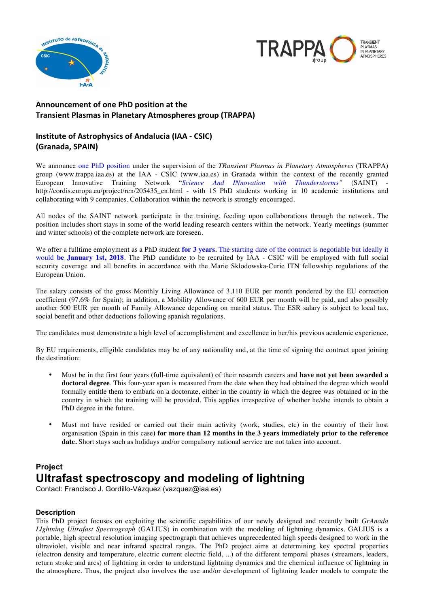



## Announcement of one PhD position at the **Transient Plasmas in Planetary Atmospheres group (TRAPPA)**

## **Institute of Astrophysics of Andalucia (IAA - CSIC) (Granada, SPAIN)**

We announce one PhD position under the supervision of the *TRansient Plasmas in Planetary Atmospheres* (TRAPPA) group (www.trappa.iaa.es) at the IAA - CSIC (www.iaa.es) in Granada within the context of the recently granted European Innovative Training Network "Science And INnovation with Thunderstorms" (SAINT) http://cordis.europa.eu/project/rcn/205435\_en.html - with 15 PhD students working in 10 academic institutions and collaborating with 9 companies. Collaboration within the network is strongly encouraged.

All nodes of the SAINT network participate in the training, feeding upon collaborations through the network. The position includes short stays in some of the world leading research centers within the network. Yearly meetings (summer and winter schools) of the complete network are foreseen.

We offer a fulltime employment as a PhD student **for 3 years**. The starting date of the contract is negotiable but ideally it would **be January 1st, 2018**. The PhD candidate to be recruited by IAA - CSIC will be employed with full social security coverage and all benefits in accordance with the Marie Sklodowska-Curie ITN fellowship regulations of the European Union.

The salary consists of the gross Monthly Living Allowance of 3,110 EUR per month pondered by the EU correction coefficient (97,6% for Spain); in addition, a Mobility Allowance of 600 EUR per month will be paid, and also possibly another 500 EUR per month of Family Allowance depending on marital status. The ESR salary is subject to local tax, social benefit and other deductions following spanish regulations.

The candidates must demonstrate a high level of accomplishment and excellence in her/his previous academic experience.

By EU requirements, elligible candidates may be of any nationality and, at the time of signing the contract upon joining the destination:

- Must be in the first four years (full-time equivalent) of their research careers and **have not yet been awarded a doctoral degree**. This four-year span is measured from the date when they had obtained the degree which would formally entitle them to embark on a doctorate, either in the country in which the degree was obtained or in the country in which the training will be provided. This applies irrespective of whether he/she intends to obtain a PhD degree in the future.
- Must not have resided or carried out their main activity (work, studies, etc) in the country of their host organisation (Spain in this case**) for more than 12 months in the 3 years immediately prior to the reference date.** Short stays such as holidays and/or compulsory national service are not taken into account.

# **Project Ultrafast spectroscopy and modeling of lightning**

Contact: Francisco J. Gordillo-Vázquez (vazquez@iaa.es)

### **Description**

This PhD project focuses on exploiting the scientific capabilities of our newly designed and recently built *GrAnada LIghtning Ultrafast Spectrograph* (GALIUS) in combination with the modeling of lightning dynamics. GALIUS is a portable, high spectral resolution imaging spectrograph that achieves unprecedented high speeds designed to work in the ultraviolet, visible and near infrared spectral ranges. The PhD project aims at determining key spectral properties (electron density and temperature, electric current electric field, ...) of the different temporal phases (streamers, leaders, return stroke and arcs) of lightning in order to understand lightning dynamics and the chemical influence of lightning in the atmosphere. Thus, the project also involves the use and/or development of lightning leader models to compute the